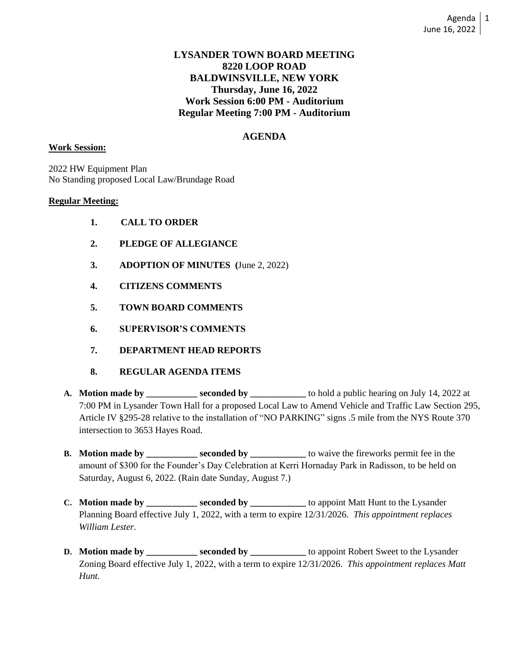## **LYSANDER TOWN BOARD MEETING 8220 LOOP ROAD BALDWINSVILLE, NEW YORK Thursday, June 16, 2022 Work Session 6:00 PM - Auditorium Regular Meeting 7:00 PM - Auditorium**

## **AGENDA**

### **Work Session:**

2022 HW Equipment Plan No Standing proposed Local Law/Brundage Road

### **Regular Meeting:**

- **1. CALL TO ORDER**
- **2. PLEDGE OF ALLEGIANCE**
- **3. ADOPTION OF MINUTES (**June 2, 2022)
- **4. CITIZENS COMMENTS**
- **5. TOWN BOARD COMMENTS**
- **6. SUPERVISOR'S COMMENTS**
- **7. DEPARTMENT HEAD REPORTS**
- **8. REGULAR AGENDA ITEMS**
- **A. Motion made by \_\_\_\_\_\_\_\_\_\_\_ seconded by \_\_\_\_\_\_\_\_\_\_\_\_** to hold a public hearing on July 14, 2022 at 7:00 PM in Lysander Town Hall for a proposed Local Law to Amend Vehicle and Traffic Law Section 295, Article IV §295-28 relative to the installation of "NO PARKING" signs .5 mile from the NYS Route 370 intersection to 3653 Hayes Road.
- **B. Motion made by \_\_\_\_\_\_\_\_\_\_ seconded by \_\_\_\_\_\_\_\_** to waive the fireworks permit fee in the amount of \$300 for the Founder's Day Celebration at Kerri Hornaday Park in Radisson, to be held on Saturday, August 6, 2022. (Rain date Sunday, August 7.)
- **C. Motion made by \_\_\_\_\_\_\_\_\_\_ seconded by \_\_\_\_\_\_\_\_** to appoint Matt Hunt to the Lysander Planning Board effective July 1, 2022, with a term to expire 12/31/2026. *This appointment replaces William Lester.*
- **D. Motion made by \_\_\_\_\_\_\_\_\_\_ seconded by \_\_\_\_\_\_\_\_** to appoint Robert Sweet to the Lysander Zoning Board effective July 1, 2022, with a term to expire 12/31/2026. *This appointment replaces Matt Hunt.*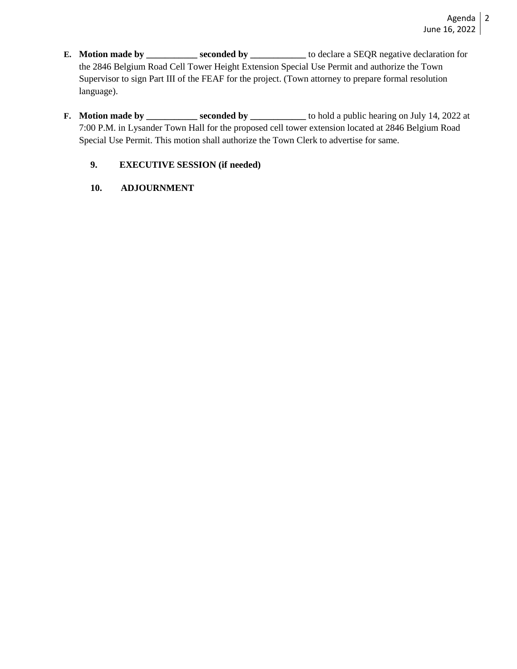- **E. Motion made by \_\_\_\_\_\_\_\_\_\_\_ seconded by \_\_\_\_\_\_\_\_** to declare a SEQR negative declaration for the 2846 Belgium Road Cell Tower Height Extension Special Use Permit and authorize the Town Supervisor to sign Part III of the FEAF for the project. (Town attorney to prepare formal resolution language).
- **F. Motion made by \_\_\_\_\_\_\_\_\_\_ seconded by \_\_\_\_\_\_\_\_\_** to hold a public hearing on July 14, 2022 at 7:00 P.M. in Lysander Town Hall for the proposed cell tower extension located at 2846 Belgium Road Special Use Permit. This motion shall authorize the Town Clerk to advertise for same.

# **9. EXECUTIVE SESSION (if needed)**

**10. ADJOURNMENT**